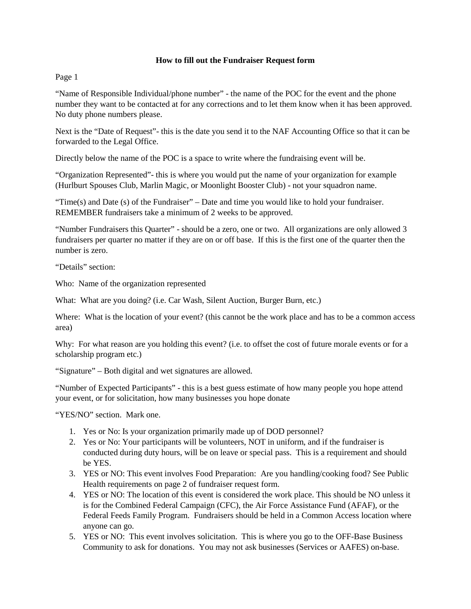## **How to fill out the Fundraiser Request form**

Page 1

"Name of Responsible Individual/phone number" - the name of the POC for the event and the phone number they want to be contacted at for any corrections and to let them know when it has been approved. No duty phone numbers please.

Next is the "Date of Request"- this is the date you send it to the NAF Accounting Office so that it can be forwarded to the Legal Office.

Directly below the name of the POC is a space to write where the fundraising event will be.

"Organization Represented"- this is where you would put the name of your organization for example (Hurlburt Spouses Club, Marlin Magic, or Moonlight Booster Club) - not your squadron name.

"Time(s) and Date (s) of the Fundraiser" – Date and time you would like to hold your fundraiser. REMEMBER fundraisers take a minimum of 2 weeks to be approved.

"Number Fundraisers this Quarter" - should be a zero, one or two. All organizations are only allowed 3 fundraisers per quarter no matter if they are on or off base. If this is the first one of the quarter then the number is zero.

"Details" section:

Who: Name of the organization represented

What: What are you doing? (i.e. Car Wash, Silent Auction, Burger Burn, etc.)

Where: What is the location of your event? (this cannot be the work place and has to be a common access area)

Why: For what reason are you holding this event? (i.e. to offset the cost of future morale events or for a scholarship program etc.)

"Signature" – Both digital and wet signatures are allowed.

"Number of Expected Participants" - this is a best guess estimate of how many people you hope attend your event, or for solicitation, how many businesses you hope donate

"YES/NO" section. Mark one.

- 1. Yes or No: Is your organization primarily made up of DOD personnel?
- 2. Yes or No: Your participants will be volunteers, NOT in uniform, and if the fundraiser is conducted during duty hours, will be on leave or special pass. This is a requirement and should be YES.
- 3. YES or NO: This event involves Food Preparation: Are you handling/cooking food? See Public Health requirements on page 2 of fundraiser request form.
- 4. YES or NO: The location of this event is considered the work place. This should be NO unless it is for the Combined Federal Campaign (CFC), the Air Force Assistance Fund (AFAF), or the Federal Feeds Family Program. Fundraisers should be held in a Common Access location where anyone can go.
- 5. YES or NO: This event involves solicitation. This is where you go to the OFF-Base Business Community to ask for donations. You may not ask businesses (Services or AAFES) on-base.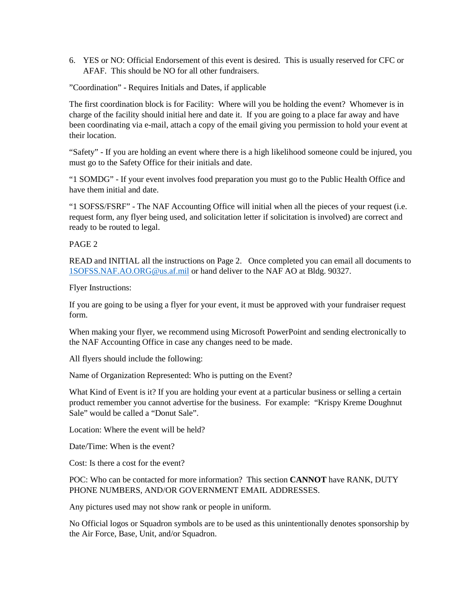6. YES or NO: Official Endorsement of this event is desired. This is usually reserved for CFC or AFAF. This should be NO for all other fundraisers.

"Coordination" - Requires Initials and Dates, if applicable

The first coordination block is for Facility: Where will you be holding the event? Whomever is in charge of the facility should initial here and date it. If you are going to a place far away and have been coordinating via e-mail, attach a copy of the email giving you permission to hold your event at their location.

"Safety" - If you are holding an event where there is a high likelihood someone could be injured, you must go to the Safety Office for their initials and date.

"1 SOMDG" - If your event involves food preparation you must go to the Public Health Office and have them initial and date.

"1 SOFSS/FSRF" - The NAF Accounting Office will initial when all the pieces of your request (i.e. request form, any flyer being used, and solicitation letter if solicitation is involved) are correct and ready to be routed to legal.

PAGE 2

READ and INITIAL all the instructions on Page 2. Once completed you can email all documents to [1SOFSS.NAF.AO.ORG@us.af.mil](mailto:1SOFSS.NAF.AO.ORG@us.af.mil) or hand deliver to the NAF AO at Bldg. 90327.

Flyer Instructions:

If you are going to be using a flyer for your event, it must be approved with your fundraiser request form.

When making your flyer, we recommend using Microsoft PowerPoint and sending electronically to the NAF Accounting Office in case any changes need to be made.

All flyers should include the following:

Name of Organization Represented: Who is putting on the Event?

What Kind of Event is it? If you are holding your event at a particular business or selling a certain product remember you cannot advertise for the business. For example: "Krispy Kreme Doughnut Sale" would be called a "Donut Sale".

Location: Where the event will be held?

Date/Time: When is the event?

Cost: Is there a cost for the event?

POC: Who can be contacted for more information? This section **CANNOT** have RANK, DUTY PHONE NUMBERS, AND/OR GOVERNMENT EMAIL ADDRESSES.

Any pictures used may not show rank or people in uniform.

No Official logos or Squadron symbols are to be used as this unintentionally denotes sponsorship by the Air Force, Base, Unit, and/or Squadron.